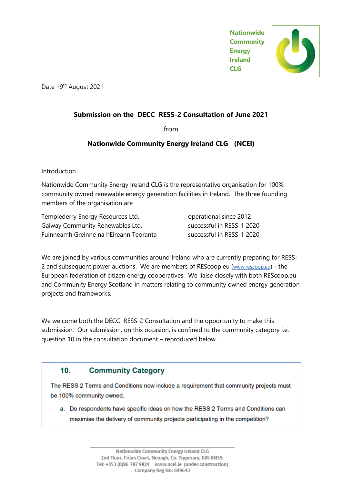**Nationwide Community Energy Ireland CLG**



Date 19<sup>th</sup> August 2021

## **Submission on the DECC RESS-2 Consultation of June 2021**

from

## **Nationwide Community Energy Ireland CLG (NCEI)**

Introduction

Nationwide Community Energy Ireland CLG is the representative organisation for 100% community owned renewable energy generation facilities in Ireland. The three founding members of the organisation are

| Templederry Energy Resources Ltd.      |
|----------------------------------------|
| Galway Community Renewables Ltd.       |
| Fuinneamh Greinne na hEireann Teoranta |

operational since 2012 successful in RESS-1 2020 successful in RESS-1 2020

We are joined by various communities around Ireland who are currently preparing for RESS-2 and subsequent power auctions. We are members of REScoop.eu ([www.rescoop.eu](http://www.rescoop.eu/)) - the European federation of citizen energy cooperatives. We liaise closely with both REScoop.eu and Community Energy Scotland in matters relating to community owned energy generation projects and frameworks.

We welcome both the DECC RESS-2 Consultation and the opportunity to make this submission. Our submission, on this occasion, is confined to the community category i.e. question 10 in the consultation document – reproduced below.

## $10<sub>1</sub>$ **Community Category**

The RESS 2 Terms and Conditions now include a requirement that community projects must be 100% community owned.

a. Do respondents have specific ideas on how the RESS 2 Terms and Conditions can maximise the delivery of community projects participating in the competition?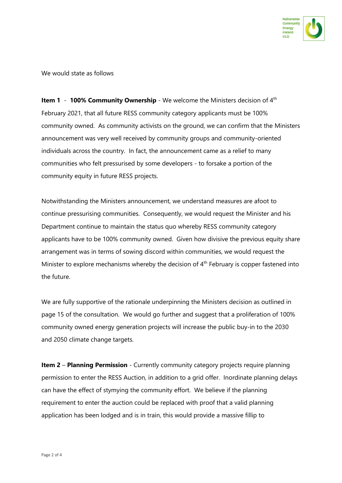

We would state as follows

**Item 1 - 100% Community Ownership** - We welcome the Ministers decision of 4<sup>th</sup> February 2021, that all future RESS community category applicants must be 100% community owned. As community activists on the ground, we can confirm that the Ministers announcement was very well received by community groups and community-oriented individuals across the country. In fact, the announcement came as a relief to many communities who felt pressurised by some developers - to forsake a portion of the community equity in future RESS projects.

Notwithstanding the Ministers announcement, we understand measures are afoot to continue pressurising communities. Consequently, we would request the Minister and his Department continue to maintain the status quo whereby RESS community category applicants have to be 100% community owned. Given how divisive the previous equity share arrangement was in terms of sowing discord within communities, we would request the Minister to explore mechanisms whereby the decision of  $4<sup>th</sup>$  February is copper fastened into the future.

We are fully supportive of the rationale underpinning the Ministers decision as outlined in page 15 of the consultation. We would go further and suggest that a proliferation of 100% community owned energy generation projects will increase the public buy-in to the 2030 and 2050 climate change targets.

**Item 2 – Planning Permission** - Currently community category projects require planning permission to enter the RESS Auction, in addition to a grid offer. Inordinate planning delays can have the effect of stymying the community effort. We believe if the planning requirement to enter the auction could be replaced with proof that a valid planning application has been lodged and is in train, this would provide a massive fillip to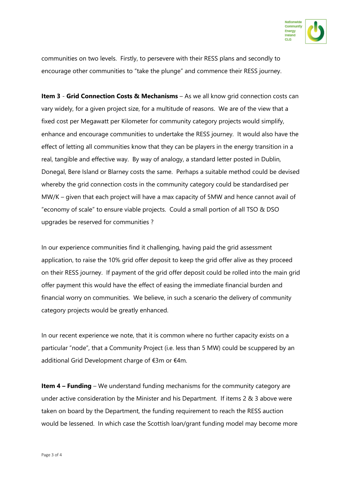

communities on two levels. Firstly, to persevere with their RESS plans and secondly to encourage other communities to "take the plunge" and commence their RESS journey.

**Item 3** - **Grid Connection Costs & Mechanisms** – As we all know grid connection costs can vary widely, for a given project size, for a multitude of reasons. We are of the view that a fixed cost per Megawatt per Kilometer for community category projects would simplify, enhance and encourage communities to undertake the RESS journey. It would also have the effect of letting all communities know that they can be players in the energy transition in a real, tangible and effective way. By way of analogy, a standard letter posted in Dublin, Donegal, Bere Island or Blarney costs the same. Perhaps a suitable method could be devised whereby the grid connection costs in the community category could be standardised per MW/K – given that each project will have a max capacity of 5MW and hence cannot avail of "economy of scale" to ensure viable projects. Could a small portion of all TSO & DSO upgrades be reserved for communities ?

In our experience communities find it challenging, having paid the grid assessment application, to raise the 10% grid offer deposit to keep the grid offer alive as they proceed on their RESS journey. If payment of the grid offer deposit could be rolled into the main grid offer payment this would have the effect of easing the immediate financial burden and financial worry on communities. We believe, in such a scenario the delivery of community category projects would be greatly enhanced.

In our recent experience we note, that it is common where no further capacity exists on a particular "node", that a Community Project (i.e. less than 5 MW) could be scuppered by an additional Grid Development charge of €3m or €4m.

**Item 4 – Funding** – We understand funding mechanisms for the community category are under active consideration by the Minister and his Department. If items 2 & 3 above were taken on board by the Department, the funding requirement to reach the RESS auction would be lessened. In which case the Scottish loan/grant funding model may become more